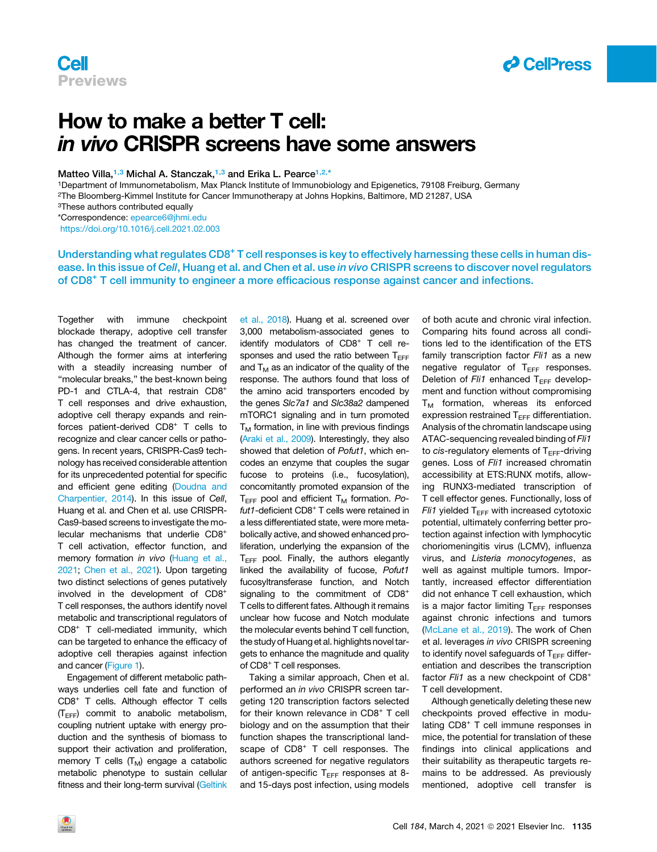



## How to make a better T cell: in vivo CRISPR screens have some answers

Matteo Villa, <sup>1,[3](#page-0-1)</sup> Michal A. Stanczak, <sup>[1,](#page-0-0)3</sup> and Erika L. Pearce<sup>1,[2,](#page-0-2)[\\*](#page-0-3)</sup>

<span id="page-0-0"></span>1Department of Immunometabolism, Max Planck Institute of Immunobiology and Epigenetics, 79108 Freiburg, Germany

<span id="page-0-2"></span>2The Bloomberg-Kimmel Institute for Cancer Immunotherapy at Johns Hopkins, Baltimore, MD 21287, USA

<span id="page-0-3"></span>\*Correspondence: [epearce6@jhmi.edu](mailto:epearce6@jhmi.edu)

<https://doi.org/10.1016/j.cell.2021.02.003>

Understanding what regulates CD8<sup>+</sup> T cell responses is key to effectively harnessing these cells in human disease. In this issue of Cell, Huang et al. and Chen et al. use in vivo CRISPR screens to discover novel regulators of CD8+ T cell immunity to engineer a more efficacious response against cancer and infections.

Together with immune checkpoint blockade therapy, adoptive cell transfer has changed the treatment of cancer. Although the former aims at interfering with a steadily increasing number of ''molecular breaks,'' the best-known being PD-1 and CTLA-4, that restrain CD8<sup>+</sup> T cell responses and drive exhaustion, adoptive cell therapy expands and reinforces patient-derived  $CDB<sup>+</sup>$  T cells to recognize and clear cancer cells or pathogens. In recent years, CRISPR-Cas9 technology has received considerable attention for its unprecedented potential for specific and efficient gene editing [\(Doudna and](#page-1-0) [Charpentier, 2014\)](#page-1-0). In this issue of *Cell*, Huang et al. and Chen et al. use CRISPR-Cas9-based screens to investigate the molecular mechanisms that underlie CD8+ T cell activation, effector function, and memory formation *in vivo* [\(Huang et al.,](#page-1-1) [2021](#page-1-1); [Chen et al., 2021\)](#page-1-2). Upon targeting two distinct selections of genes putatively involved in the development of CD8+ T cell responses, the authors identify novel metabolic and transcriptional regulators of CD8+ T cell-mediated immunity, which can be targeted to enhance the efficacy of adoptive cell therapies against infection and cancer [\(Figure 1](#page-1-3)).

Engagement of different metabolic pathways underlies cell fate and function of CD8+ T cells. Although effector T cells  $(T_{EFF})$  commit to anabolic metabolism, coupling nutrient uptake with energy production and the synthesis of biomass to support their activation and proliferation, memory T cells  $(T_M)$  engage a catabolic metabolic phenotype to sustain cellular fitness and their long-term survival [\(Geltink](#page-1-4) [et al., 2018\)](#page-1-4). Huang et al. screened over 3,000 metabolism-associated genes to identify modulators of CD8<sup>+</sup> T cell responses and used the ratio between  $T_{\text{EFF}}$ and  $T_M$  as an indicator of the quality of the response. The authors found that loss of the amino acid transporters encoded by the genes *Slc7a1* and *Slc38a2* dampened mTORC1 signaling and in turn promoted  $T_M$  formation, in line with previous findings ([Araki et al., 2009\)](#page-1-5). Interestingly, they also showed that deletion of *Pofut1*, which encodes an enzyme that couples the sugar fucose to proteins (i.e., fucosylation), concomitantly promoted expansion of the T<sub>EFF</sub> pool and efficient T<sub>M</sub> formation. Pofut1-deficient CD8<sup>+</sup> T cells were retained in a less differentiated state, were more metabolically active, and showed enhanced proliferation, underlying the expansion of the  $T_{\text{FFF}}$  pool. Finally, the authors elegantly linked the availability of fucose, *Pofut1* fucosyltransferase function, and Notch signaling to the commitment of CD8<sup>+</sup> T cells to different fates. Although it remains unclear how fucose and Notch modulate the molecular events behind T cell function, the study of Huang et al. highlights novel targets to enhance the magnitude and quality of CD8<sup>+</sup> T cell responses.

Taking a similar approach, Chen et al. performed an *in vivo* CRISPR screen targeting 120 transcription factors selected for their known relevance in CD8<sup>+</sup> T cell biology and on the assumption that their function shapes the transcriptional landscape of CD8<sup>+</sup> T cell responses. The authors screened for negative regulators of antigen-specific  $T_{EFF}$  responses at 8and 15-days post infection, using models

of both acute and chronic viral infection. Comparing hits found across all conditions led to the identification of the ETS family transcription factor *Fli1* as a new negative regulator of  $T_{EFF}$  responses. Deletion of *Fli1* enhanced T<sub>EFF</sub> development and function without compromising  $T_M$  formation, whereas its enforced expression restrained  $T_{EFF}$  differentiation. Analysis of the chromatin landscape using ATAC-sequencing revealed binding of *Fli1* to *cis-regulatory elements of* T<sub>EFF</sub>-driving genes. Loss of *Fli1* increased chromatin accessibility at ETS:RUNX motifs, allowing RUNX3-mediated transcription of T cell effector genes. Functionally, loss of *Fli1* yielded  $T_{EFF}$  with increased cytotoxic potential, ultimately conferring better protection against infection with lymphocytic choriomeningitis virus (LCMV), influenza virus, and *Listeria monocytogenes*, as well as against multiple tumors. Importantly, increased effector differentiation did not enhance T cell exhaustion, which is a major factor limiting  $T_{EFF}$  responses against chronic infections and tumors [\(McLane et al., 2019\)](#page-1-6). The work of Chen et al. leverages *in vivo* CRISPR screening to identify novel safeguards of  $T_{EFF}$  differentiation and describes the transcription factor Fli1 as a new checkpoint of CD8<sup>+</sup> T cell development.

Although genetically deleting these new checkpoints proved effective in modulating CD8<sup>+</sup> T cell immune responses in mice, the potential for translation of these findings into clinical applications and their suitability as therapeutic targets remains to be addressed. As previously mentioned, adoptive cell transfer is

<span id="page-0-1"></span><sup>3</sup>These authors contributed equally